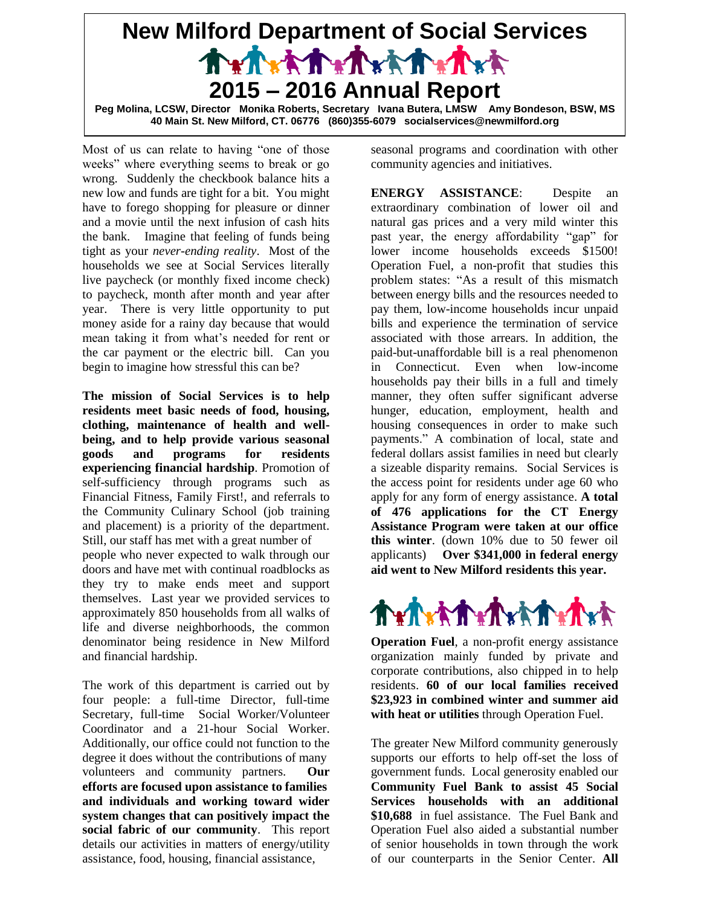## **New Milford Department of Social Services** Trinitrinitrinitri **2015 – 2016 Annual Report Peg Molina, LCSW, Director Monika Roberts, Secretary Ivana Butera, LMSW Amy Bondeson, BSW, MS**

**40 Main St. New Milford, CT. 06776 (860)355-6079 socialservices@newmilford.org**

Most of us can relate to having "one of those weeks" where everything seems to break or go wrong. Suddenly the checkbook balance hits a new low and funds are tight for a bit. You might have to forego shopping for pleasure or dinner and a movie until the next infusion of cash hits the bank. Imagine that feeling of funds being tight as your *never-ending reality*. Most of the households we see at Social Services literally live paycheck (or monthly fixed income check) to paycheck, month after month and year after year. There is very little opportunity to put money aside for a rainy day because that would mean taking it from what's needed for rent or the car payment or the electric bill. Can you begin to imagine how stressful this can be?

**The mission of Social Services is to help residents meet basic needs of food, housing, clothing, maintenance of health and wellbeing, and to help provide various seasonal goods and programs for residents experiencing financial hardship**. Promotion of self-sufficiency through programs such as Financial Fitness, Family First!, and referrals to the Community Culinary School (job training and placement) is a priority of the department. Still, our staff has met with a great number of people who never expected to walk through our doors and have met with continual roadblocks as they try to make ends meet and support

themselves. Last year we provided services to approximately 850 households from all walks of life and diverse neighborhoods, the common denominator being residence in New Milford and financial hardship.

The work of this department is carried out by four people: a full-time Director, full-time Secretary, full-time Social Worker/Volunteer Coordinator and a 21-hour Social Worker. Additionally, our office could not function to the degree it does without the contributions of many volunteers and community partners. **Our efforts are focused upon assistance to families and individuals and working toward wider system changes that can positively impact the social fabric of our community**. This report details our activities in matters of energy/utility assistance, food, housing, financial assistance,

seasonal programs and coordination with other community agencies and initiatives.

**ENERGY ASSISTANCE**: Despite an extraordinary combination of lower oil and natural gas prices and a very mild winter this past year, the energy affordability "gap" for lower income households exceeds \$1500! Operation Fuel, a non-profit that studies this problem states: "As a result of this mismatch between energy bills and the resources needed to pay them, low-income households incur unpaid bills and experience the termination of service associated with those arrears. In addition, the paid-but-unaffordable bill is a real phenomenon in Connecticut. Even when low-income households pay their bills in a full and timely manner, they often suffer significant adverse hunger, education, employment, health and housing consequences in order to make such payments." A combination of local, state and federal dollars assist families in need but clearly a sizeable disparity remains. Social Services is the access point for residents under age 60 who apply for any form of energy assistance. **A total of 476 applications for the CT Energy Assistance Program were taken at our office this winter**. (down 10% due to 50 fewer oil applicants) **Over \$341,000 in federal energy aid went to New Milford residents this year.**



**Operation Fuel**, a non-profit energy assistance organization mainly funded by private and corporate contributions, also chipped in to help residents. **60 of our local families received \$23,923 in combined winter and summer aid with heat or utilities** through Operation Fuel.

The greater New Milford community generously supports our efforts to help off-set the loss of government funds. Local generosity enabled our **Community Fuel Bank to assist 45 Social Services households with an additional \$10,688** in fuel assistance. The Fuel Bank and Operation Fuel also aided a substantial number of senior households in town through the work of our counterparts in the Senior Center. **All**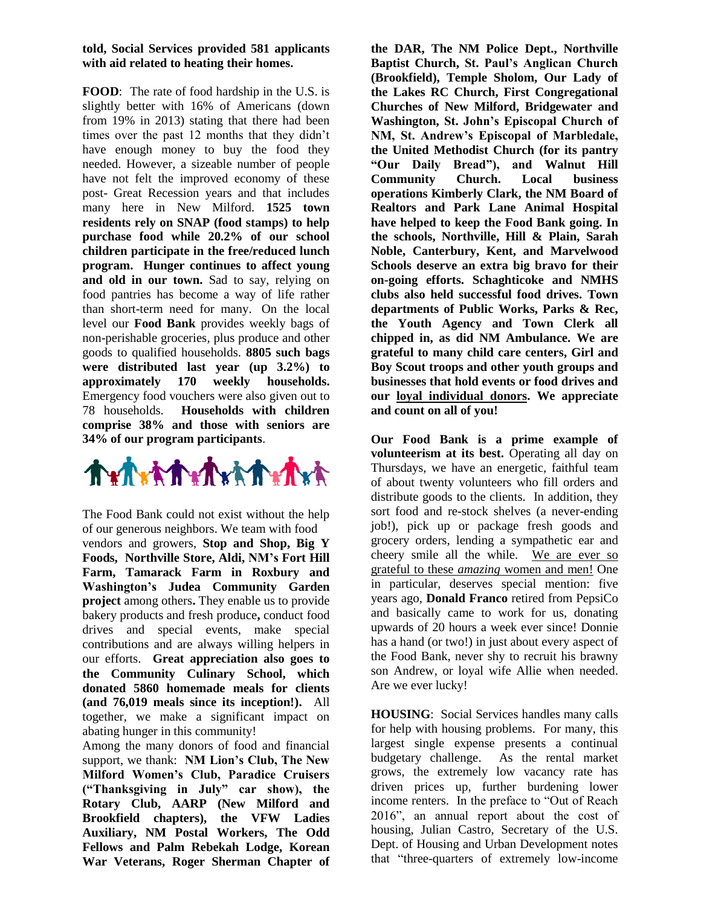## **told, Social Services provided 581 applicants with aid related to heating their homes.**

**FOOD**: The rate of food hardship in the U.S. is slightly better with 16% of Americans (down from 19% in 2013) stating that there had been times over the past 12 months that they didn't have enough money to buy the food they needed. However, a sizeable number of people have not felt the improved economy of these post- Great Recession years and that includes many here in New Milford. **1525 town residents rely on SNAP (food stamps) to help purchase food while 20.2% of our school children participate in the free/reduced lunch program. Hunger continues to affect young and old in our town.** Sad to say, relying on food pantries has become a way of life rather than short-term need for many. On the local level our **Food Bank** provides weekly bags of non-perishable groceries, plus produce and other goods to qualified households. **8805 such bags were distributed last year (up 3.2%) to approximately 170 weekly households.** Emergency food vouchers were also given out to 78 households. **Households with children comprise 38% and those with seniors are 34% of our program participants**.



The Food Bank could not exist without the help of our generous neighbors. We team with food

vendors and growers, **Stop and Shop, Big Y Foods, Northville Store, Aldi, NM's Fort Hill Farm, Tamarack Farm in Roxbury and Washington's Judea Community Garden project** among others**.** They enable us to provide bakery products and fresh produce**,** conduct food drives and special events, make special contributions and are always willing helpers in our efforts. **Great appreciation also goes to the Community Culinary School, which donated 5860 homemade meals for clients (and 76,019 meals since its inception!).** All together, we make a significant impact on abating hunger in this community!

Among the many donors of food and financial support, we thank: **NM Lion's Club, The New Milford Women's Club, Paradice Cruisers ("Thanksgiving in July" car show), the Rotary Club, AARP (New Milford and Brookfield chapters), the VFW Ladies Auxiliary, NM Postal Workers, The Odd Fellows and Palm Rebekah Lodge, Korean War Veterans, Roger Sherman Chapter of** 

**the DAR, The NM Police Dept., Northville Baptist Church, St. Paul's Anglican Church (Brookfield), Temple Sholom, Our Lady of the Lakes RC Church, First Congregational Churches of New Milford, Bridgewater and Washington, St. John's Episcopal Church of NM, St. Andrew's Episcopal of Marbledale, the United Methodist Church (for its pantry "Our Daily Bread"), and Walnut Hill Community Church. Local business operations Kimberly Clark, the NM Board of Realtors and Park Lane Animal Hospital have helped to keep the Food Bank going. In the schools, Northville, Hill & Plain, Sarah Noble, Canterbury, Kent, and Marvelwood Schools deserve an extra big bravo for their on-going efforts. Schaghticoke and NMHS clubs also held successful food drives. Town departments of Public Works, Parks & Rec, the Youth Agency and Town Clerk all chipped in, as did NM Ambulance. We are grateful to many child care centers, Girl and Boy Scout troops and other youth groups and businesses that hold events or food drives and our loyal individual donors. We appreciate and count on all of you!**

**Our Food Bank is a prime example of volunteerism at its best.** Operating all day on Thursdays, we have an energetic, faithful team of about twenty volunteers who fill orders and distribute goods to the clients. In addition, they sort food and re-stock shelves (a never-ending job!), pick up or package fresh goods and grocery orders, lending a sympathetic ear and cheery smile all the while. We are ever so grateful to these *amazing* women and men! One in particular, deserves special mention: five years ago, **Donald Franco** retired from PepsiCo and basically came to work for us, donating upwards of 20 hours a week ever since! Donnie has a hand (or two!) in just about every aspect of the Food Bank, never shy to recruit his brawny son Andrew, or loyal wife Allie when needed. Are we ever lucky!

**HOUSING**: Social Services handles many calls for help with housing problems. For many, this largest single expense presents a continual budgetary challenge. As the rental market grows, the extremely low vacancy rate has driven prices up, further burdening lower income renters. In the preface to "Out of Reach 2016", an annual report about the cost of housing, Julian Castro, Secretary of the U.S. Dept. of Housing and Urban Development notes that "three-quarters of extremely low-income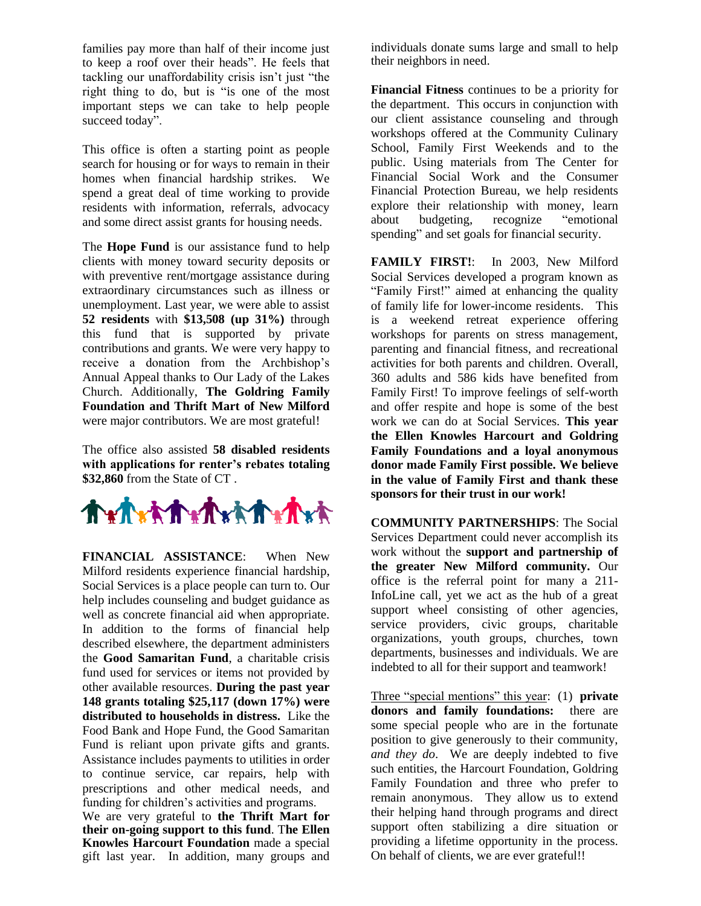families pay more than half of their income just to keep a roof over their heads". He feels that tackling our unaffordability crisis isn't just "the right thing to do, but is "is one of the most important steps we can take to help people succeed today".

This office is often a starting point as people search for housing or for ways to remain in their homes when financial hardship strikes. We spend a great deal of time working to provide residents with information, referrals, advocacy and some direct assist grants for housing needs.

The **Hope Fund** is our assistance fund to help clients with money toward security deposits or with preventive rent/mortgage assistance during extraordinary circumstances such as illness or unemployment. Last year, we were able to assist **52 residents** with **\$13,508 (up 31%)** through this fund that is supported by private contributions and grants. We were very happy to receive a donation from the Archbishop's Annual Appeal thanks to Our Lady of the Lakes Church. Additionally, **The Goldring Family Foundation and Thrift Mart of New Milford** were major contributors. We are most grateful!

The office also assisted **58 disabled residents with applications for renter's rebates totaling \$32,860** from the State of CT .



**FINANCIAL ASSISTANCE**: When New Milford residents experience financial hardship, Social Services is a place people can turn to. Our help includes counseling and budget guidance as well as concrete financial aid when appropriate. In addition to the forms of financial help described elsewhere, the department administers the **Good Samaritan Fund**, a charitable crisis fund used for services or items not provided by other available resources. **During the past year 148 grants totaling \$25,117 (down 17%) were distributed to households in distress.** Like the Food Bank and Hope Fund, the Good Samaritan Fund is reliant upon private gifts and grants. Assistance includes payments to utilities in order to continue service, car repairs, help with prescriptions and other medical needs, and funding for children's activities and programs.

We are very grateful to **the Thrift Mart for their on-going support to this fund**. T**he Ellen Knowles Harcourt Foundation** made a special gift last year. In addition, many groups and individuals donate sums large and small to help their neighbors in need.

**Financial Fitness** continues to be a priority for the department. This occurs in conjunction with our client assistance counseling and through workshops offered at the Community Culinary School, Family First Weekends and to the public. Using materials from The Center for Financial Social Work and the Consumer Financial Protection Bureau, we help residents explore their relationship with money, learn about budgeting, recognize "emotional spending" and set goals for financial security.

FAMILY FIRST!: In 2003, New Milford Social Services developed a program known as "Family First!" aimed at enhancing the quality of family life for lower-income residents. This is a weekend retreat experience offering workshops for parents on stress management, parenting and financial fitness, and recreational activities for both parents and children. Overall, 360 adults and 586 kids have benefited from Family First! To improve feelings of self-worth and offer respite and hope is some of the best work we can do at Social Services. **This year the Ellen Knowles Harcourt and Goldring Family Foundations and a loyal anonymous donor made Family First possible. We believe in the value of Family First and thank these sponsors for their trust in our work!**

**COMMUNITY PARTNERSHIPS**: The Social Services Department could never accomplish its work without the **support and partnership of the greater New Milford community.** Our office is the referral point for many a 211- InfoLine call, yet we act as the hub of a great support wheel consisting of other agencies, service providers, civic groups, charitable organizations, youth groups, churches, town departments, businesses and individuals. We are indebted to all for their support and teamwork!

Three "special mentions" this year: (1) **private donors and family foundations:** there are some special people who are in the fortunate position to give generously to their community, *and they do*. We are deeply indebted to five such entities, the Harcourt Foundation, Goldring Family Foundation and three who prefer to remain anonymous. They allow us to extend their helping hand through programs and direct support often stabilizing a dire situation or providing a lifetime opportunity in the process. On behalf of clients, we are ever grateful!!